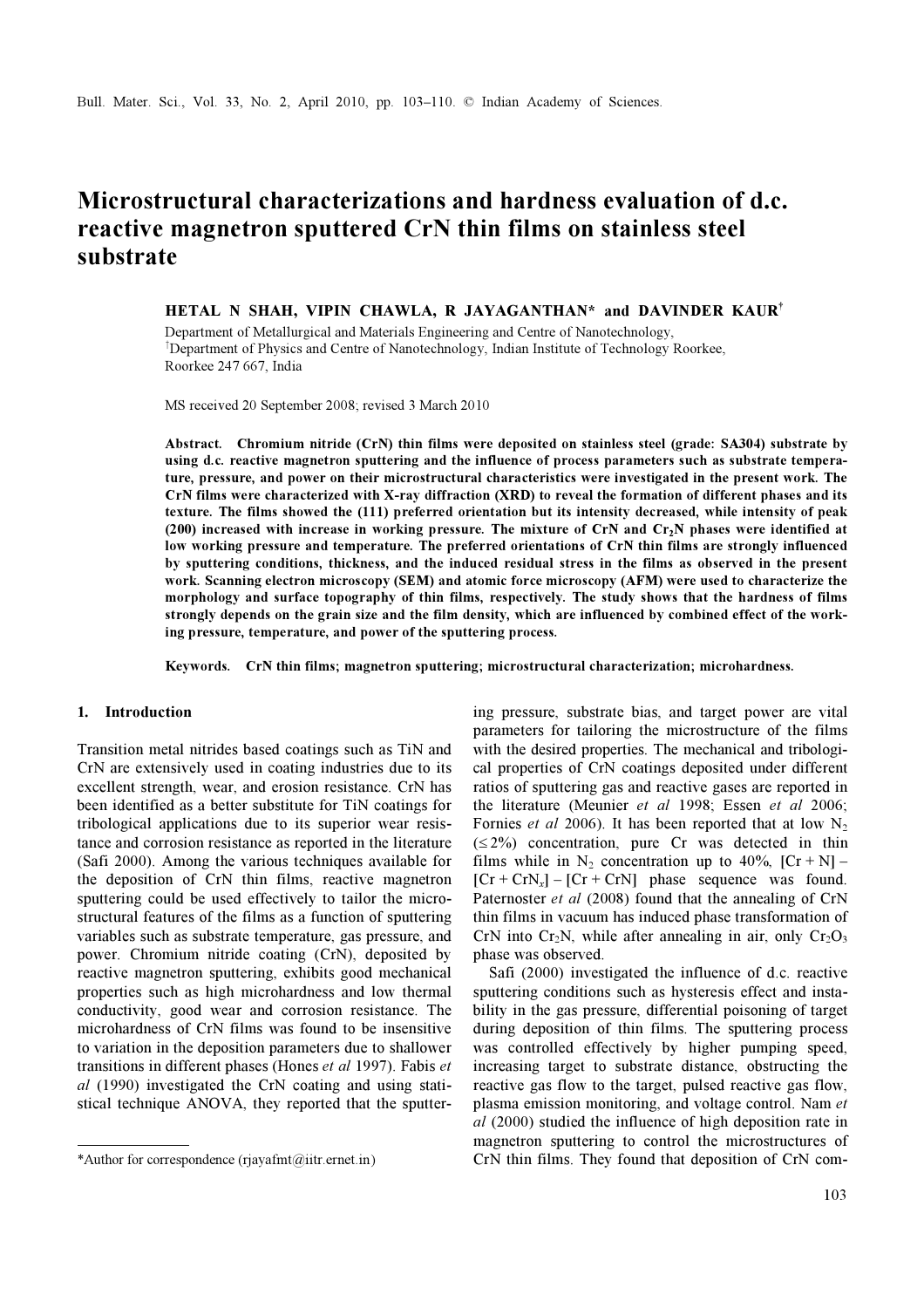# Microstructural characterizations and hardness evaluation of d.c. reactive magnetron sputtered CrN thin films on stainless steel substrate

HETAL N SHAH, VIPIN CHAWLA, R JAYAGANTHAN\* and DAVINDER KAUR† Department of Metallurgical and Materials Engineering and Centre of Nanotechnology, †Department of Physics and Centre of Nanotechnology, Indian Institute of Technology Roorkee, Roorkee 247 667, India

MS received 20 September 2008; revised 3 March 2010

Abstract. Chromium nitride (CrN) thin films were deposited on stainless steel (grade: SA304) substrate by using d.c. reactive magnetron sputtering and the influence of process parameters such as substrate temperature, pressure, and power on their microstructural characteristics were investigated in the present work. The CrN films were characterized with X-ray diffraction (XRD) to reveal the formation of different phases and its texture. The films showed the (111) preferred orientation but its intensity decreased, while intensity of peak (200) increased with increase in working pressure. The mixture of CrN and  $Cr_2N$  phases were identified at low working pressure and temperature. The preferred orientations of CrN thin films are strongly influenced by sputtering conditions, thickness, and the induced residual stress in the films as observed in the present work. Scanning electron microscopy (SEM) and atomic force microscopy (AFM) were used to characterize the morphology and surface topography of thin films, respectively. The study shows that the hardness of films strongly depends on the grain size and the film density, which are influenced by combined effect of the working pressure, temperature, and power of the sputtering process.

Keywords. CrN thin films; magnetron sputtering; microstructural characterization; microhardness.

## 1. Introduction

Transition metal nitrides based coatings such as TiN and CrN are extensively used in coating industries due to its excellent strength, wear, and erosion resistance. CrN has been identified as a better substitute for TiN coatings for tribological applications due to its superior wear resistance and corrosion resistance as reported in the literature (Safi 2000). Among the various techniques available for the deposition of CrN thin films, reactive magnetron sputtering could be used effectively to tailor the microstructural features of the films as a function of sputtering variables such as substrate temperature, gas pressure, and power. Chromium nitride coating (CrN), deposited by reactive magnetron sputtering, exhibits good mechanical properties such as high microhardness and low thermal conductivity, good wear and corrosion resistance. The microhardness of CrN films was found to be insensitive to variation in the deposition parameters due to shallower transitions in different phases (Hones et al 1997). Fabis et al (1990) investigated the CrN coating and using statistical technique ANOVA, they reported that the sputter-

ing pressure, substrate bias, and target power are vital parameters for tailoring the microstructure of the films with the desired properties. The mechanical and tribological properties of CrN coatings deposited under different ratios of sputtering gas and reactive gases are reported in the literature (Meunier et al 1998; Essen et al 2006; Fornies *et al* 2006). It has been reported that at low  $N_2$  $(\leq 2\%)$  concentration, pure Cr was detected in thin films while in  $N_2$  concentration up to 40%,  $[Cr + N]$  –  $[Cr + CrN_x] - [Cr + CrN]$  phase sequence was found. Paternoster *et al* (2008) found that the annealing of CrN thin films in vacuum has induced phase transformation of CrN into Cr<sub>2</sub>N, while after annealing in air, only  $Cr_2O_3$ phase was observed.

 Safi (2000) investigated the influence of d.c. reactive sputtering conditions such as hysteresis effect and instability in the gas pressure, differential poisoning of target during deposition of thin films. The sputtering process was controlled effectively by higher pumping speed, increasing target to substrate distance, obstructing the reactive gas flow to the target, pulsed reactive gas flow, plasma emission monitoring, and voltage control. Nam et al (2000) studied the influence of high deposition rate in magnetron sputtering to control the microstructures of \*Author for correspondence (rjayafmt@iitr.ernet.in) CrN thin films. They found that deposition of CrN com-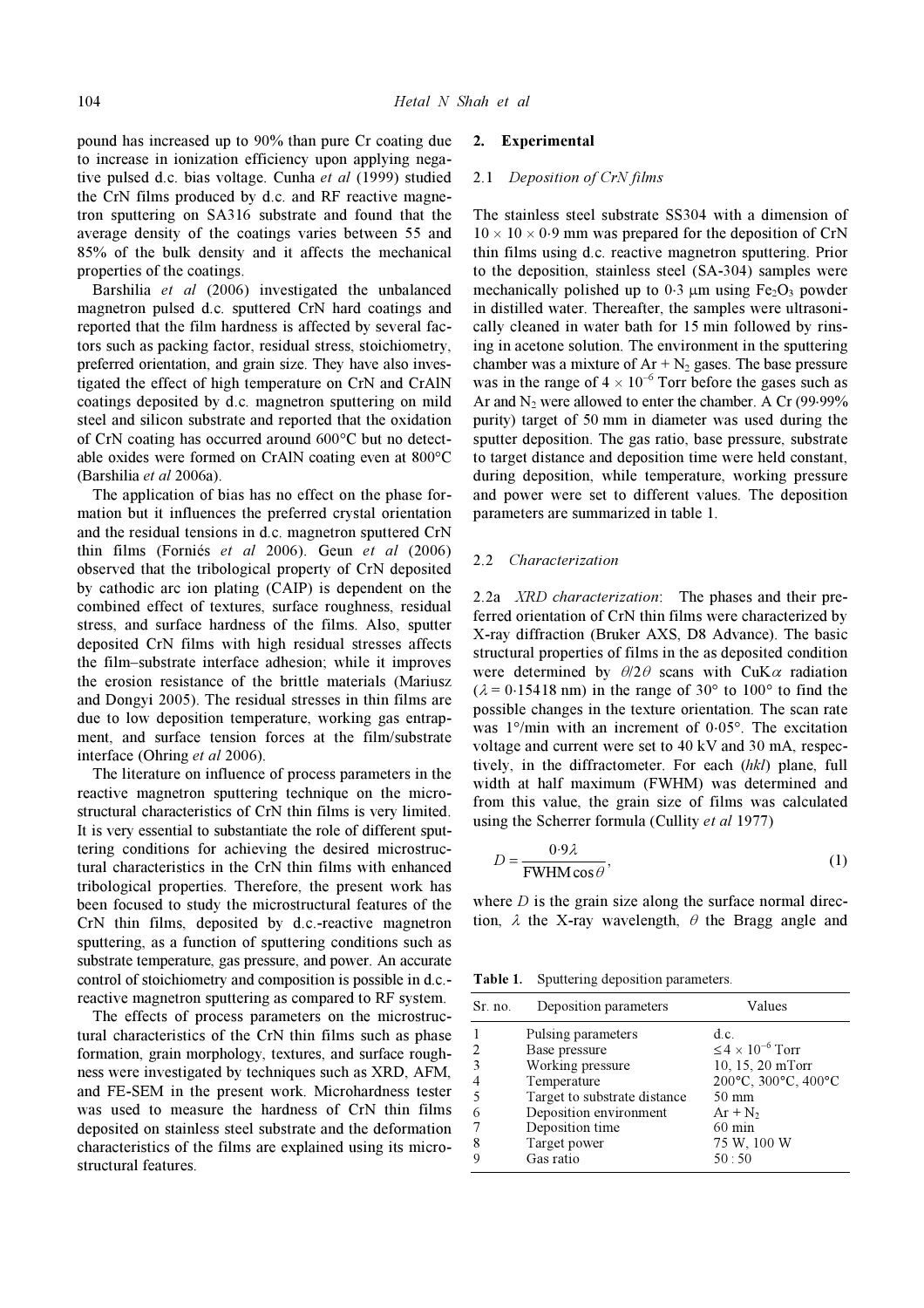pound has increased up to 90% than pure Cr coating due to increase in ionization efficiency upon applying negative pulsed d.c. bias voltage. Cunha et al (1999) studied the CrN films produced by d.c. and RF reactive magnetron sputtering on SA316 substrate and found that the average density of the coatings varies between 55 and 85% of the bulk density and it affects the mechanical properties of the coatings.

 Barshilia et al (2006) investigated the unbalanced magnetron pulsed d.c. sputtered CrN hard coatings and reported that the film hardness is affected by several factors such as packing factor, residual stress, stoichiometry, preferred orientation, and grain size. They have also investigated the effect of high temperature on CrN and CrAlN coatings deposited by d.c. magnetron sputtering on mild steel and silicon substrate and reported that the oxidation of CrN coating has occurred around 600°C but no detectable oxides were formed on CrAlN coating even at 800°C (Barshilia et al 2006a).

 The application of bias has no effect on the phase formation but it influences the preferred crystal orientation and the residual tensions in d.c. magnetron sputtered CrN thin films (Forniés et al 2006). Geun et al (2006) observed that the tribological property of CrN deposited by cathodic arc ion plating (CAIP) is dependent on the combined effect of textures, surface roughness, residual stress, and surface hardness of the films. Also, sputter deposited CrN films with high residual stresses affects the film–substrate interface adhesion; while it improves the erosion resistance of the brittle materials (Mariusz and Dongyi 2005). The residual stresses in thin films are due to low deposition temperature, working gas entrapment, and surface tension forces at the film/substrate interface (Ohring et al 2006).

 The literature on influence of process parameters in the reactive magnetron sputtering technique on the microstructural characteristics of CrN thin films is very limited. It is very essential to substantiate the role of different sputtering conditions for achieving the desired microstructural characteristics in the CrN thin films with enhanced tribological properties. Therefore, the present work has been focused to study the microstructural features of the CrN thin films, deposited by d.c.-reactive magnetron sputtering, as a function of sputtering conditions such as substrate temperature, gas pressure, and power. An accurate control of stoichiometry and composition is possible in d.c. reactive magnetron sputtering as compared to RF system.

 The effects of process parameters on the microstructural characteristics of the CrN thin films such as phase formation, grain morphology, textures, and surface roughness were investigated by techniques such as XRD, AFM, and FE-SEM in the present work. Microhardness tester was used to measure the hardness of CrN thin films deposited on stainless steel substrate and the deformation characteristics of the films are explained using its microstructural features.

#### 2. Experimental

#### 2.1 Deposition of CrN films

The stainless steel substrate SS304 with a dimension of  $10 \times 10 \times 0.9$  mm was prepared for the deposition of CrN thin films using d.c. reactive magnetron sputtering. Prior to the deposition, stainless steel (SA-304) samples were mechanically polished up to  $0.3 \mu m$  using Fe<sub>2</sub>O<sub>3</sub> powder in distilled water. Thereafter, the samples were ultrasonically cleaned in water bath for 15 min followed by rinsing in acetone solution. The environment in the sputtering chamber was a mixture of  $Ar + N_2$  gases. The base pressure was in the range of  $4 \times 10^{-6}$  Torr before the gases such as Ar and N<sub>2</sub> were allowed to enter the chamber. A Cr  $(99.99\%$ purity) target of 50 mm in diameter was used during the sputter deposition. The gas ratio, base pressure, substrate to target distance and deposition time were held constant, during deposition, while temperature, working pressure and power were set to different values. The deposition parameters are summarized in table 1.

#### 2.2 Characterization

2.2a XRD characterization: The phases and their preferred orientation of CrN thin films were characterized by X-ray diffraction (Bruker AXS, D8 Advance). The basic structural properties of films in the as deposited condition were determined by  $\theta/2\theta$  scans with CuK $\alpha$  radiation  $(\lambda = 0.15418 \text{ nm})$  in the range of 30° to 100° to find the possible changes in the texture orientation. The scan rate was 1°/min with an increment of 0⋅05°. The excitation voltage and current were set to 40 kV and 30 mA, respectively, in the diffractometer. For each (hkl) plane, full width at half maximum (FWHM) was determined and from this value, the grain size of films was calculated using the Scherrer formula (Cullity et al 1977)

$$
D = \frac{0.9\lambda}{FWHM\cos\theta},\tag{1}
$$

where  $D$  is the grain size along the surface normal direction,  $\lambda$  the X-ray wavelength,  $\theta$  the Bragg angle and

Table 1. Sputtering deposition parameters.

| Sr. no.        | Deposition parameters        | Values                       |
|----------------|------------------------------|------------------------------|
|                | Pulsing parameters           | d.c.                         |
| 2              | Base pressure                | $\leq 4 \times 10^{-6}$ Torr |
| 3              | Working pressure             | 10, 15, 20 mTorr             |
| $\overline{4}$ | Temperature                  | 200°C, 300°C, 400°C          |
| 5              | Target to substrate distance | $50 \text{ mm}$              |
| 6              | Deposition environment       | $Ar + N_2$                   |
| 7              | Deposition time              | $60 \text{ min}$             |
| 8              | Target power                 | 75 W, 100 W                  |
| $\mathbf Q$    | Gas ratio                    | 50:50                        |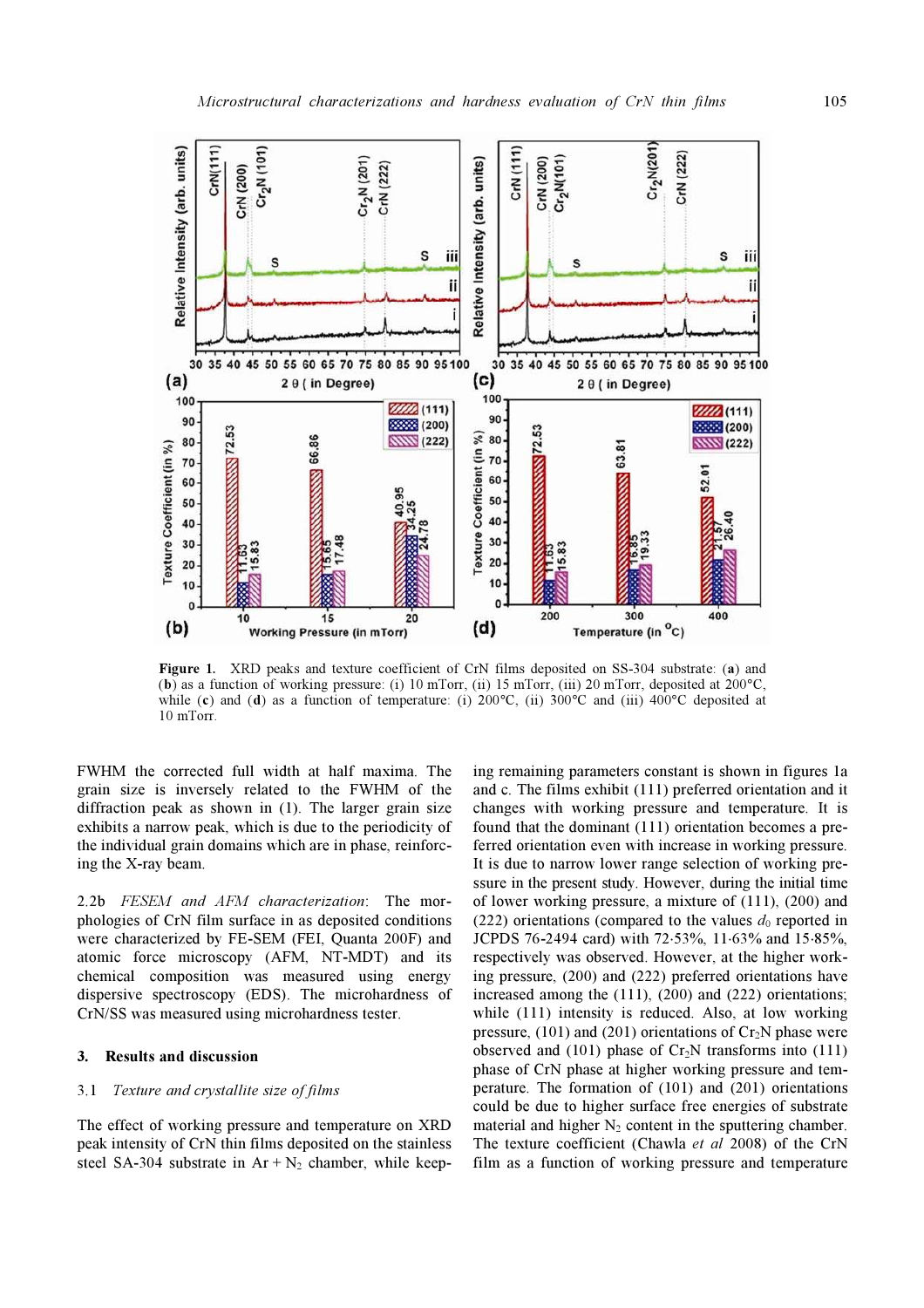

Figure 1. XRD peaks and texture coefficient of CrN films deposited on SS-304 substrate: (a) and (b) as a function of working pressure: (i) 10 mTorr, (ii) 15 mTorr, (iii) 20 mTorr, deposited at  $200^{\circ}$ C, while (c) and (d) as a function of temperature: (i)  $200^{\circ}$ C, (ii)  $300^{\circ}$ C and (iii)  $400^{\circ}$ C deposited at 10 mTorr.

FWHM the corrected full width at half maxima. The grain size is inversely related to the FWHM of the diffraction peak as shown in (1). The larger grain size exhibits a narrow peak, which is due to the periodicity of the individual grain domains which are in phase, reinforcing the X-ray beam.

2.2b FESEM and AFM characterization: The morphologies of CrN film surface in as deposited conditions were characterized by FE-SEM (FEI, Quanta 200F) and atomic force microscopy (AFM, NT-MDT) and its chemical composition was measured using energy dispersive spectroscopy (EDS). The microhardness of CrN/SS was measured using microhardness tester.

## 3. Results and discussion

## 3.1 Texture and crystallite size of films

The effect of working pressure and temperature on XRD peak intensity of CrN thin films deposited on the stainless steel SA-304 substrate in  $Ar + N_2$  chamber, while keep-

ing remaining parameters constant is shown in figures 1a and c. The films exhibit (111) preferred orientation and it changes with working pressure and temperature. It is found that the dominant (111) orientation becomes a preferred orientation even with increase in working pressure. It is due to narrow lower range selection of working pressure in the present study. However, during the initial time of lower working pressure, a mixture of (111), (200) and (222) orientations (compared to the values  $d_0$  reported in JCPDS 76-2494 card) with 72⋅53%, 11⋅63% and 15⋅85%, respectively was observed. However, at the higher working pressure, (200) and (222) preferred orientations have increased among the (111), (200) and (222) orientations; while (111) intensity is reduced. Also, at low working pressure, (101) and (201) orientations of  $Cr_2N$  phase were observed and  $(101)$  phase of Cr<sub>2</sub>N transforms into  $(111)$ phase of CrN phase at higher working pressure and temperature. The formation of (101) and (201) orientations could be due to higher surface free energies of substrate material and higher  $N_2$  content in the sputtering chamber. The texture coefficient (Chawla et al 2008) of the CrN film as a function of working pressure and temperature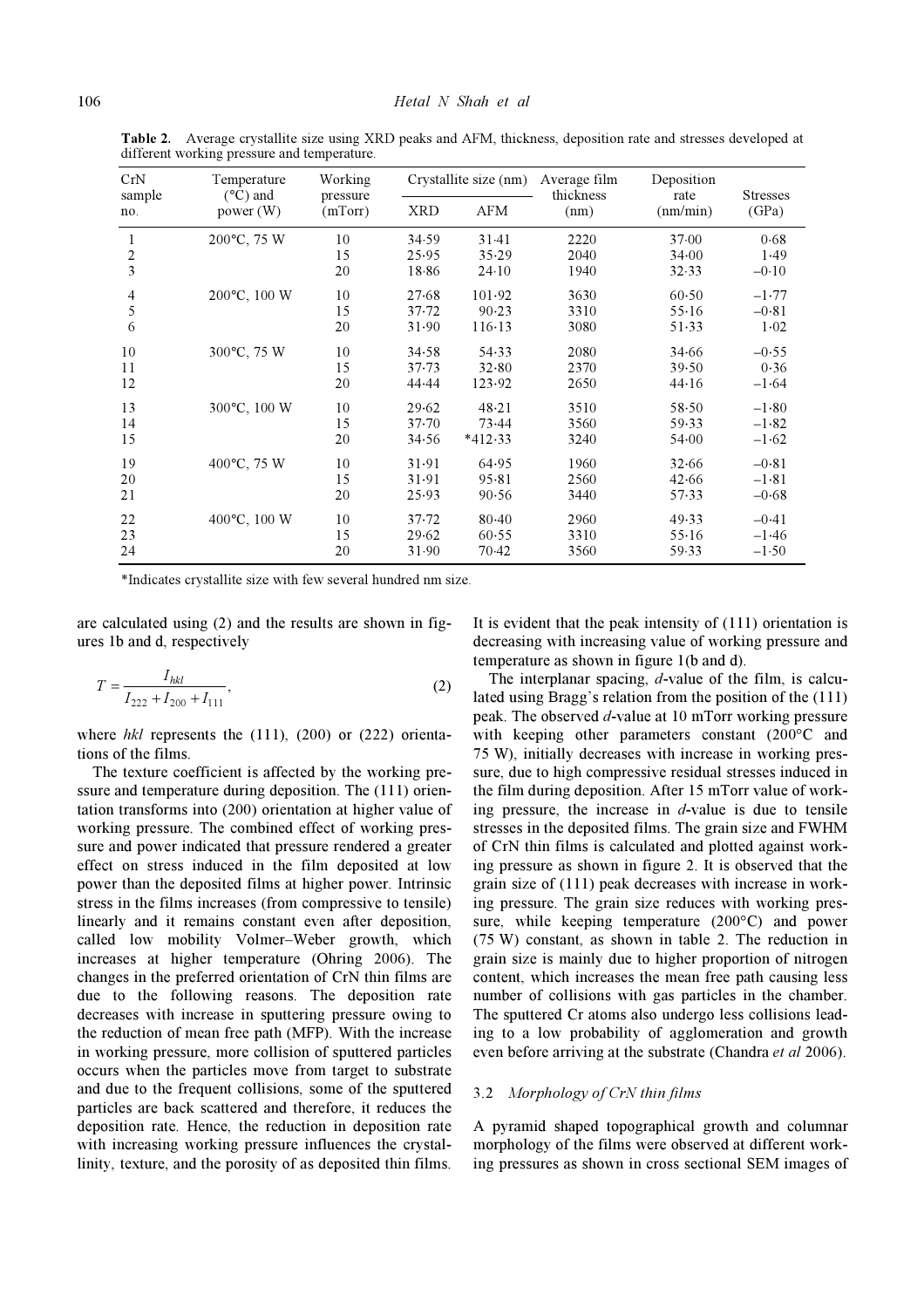| CrN              | Temperature<br>$(^{\circ}C)$ and<br>power $(W)$ | Working<br>pressure<br>(mTorr) |            | Crystallite size (nm) | Average film<br>thickness<br>(nm) | Deposition<br>rate<br>(nm/min) | <b>Stresses</b><br>(GPa) |
|------------------|-------------------------------------------------|--------------------------------|------------|-----------------------|-----------------------------------|--------------------------------|--------------------------|
| sample<br>no.    |                                                 |                                | <b>XRD</b> | AFM                   |                                   |                                |                          |
| 1                | 200°C, 75 W                                     | 10                             | 34.59      | 31.41                 | 2220                              | 37.00                          | 0.68                     |
| $\boldsymbol{2}$ |                                                 | 15                             | 25.95      | 35.29                 | 2040                              | 34.00                          | 1.49                     |
| $\overline{3}$   |                                                 | 20                             | 18.86      | $24-10$               | 1940                              | 32.33                          | $-0.10$                  |
| 4                | 200°C, 100 W                                    | 10                             | 27.68      | 101.92                | 3630                              | 60.50                          | $-1.77$                  |
| 5                |                                                 | 15                             | 37.72      | 90.23                 | 3310                              | 55.16                          | $-0.81$                  |
| 6                |                                                 | 20                             | 31.90      | 116.13                | 3080                              | $51-33$                        | $1 - 02$                 |
| 10               | 300°C, 75 W                                     | 10                             | 34.58      | 54.33                 | 2080                              | 34.66                          | $-0.55$                  |
| 11               |                                                 | 15                             | 37.73      | 32.80                 | 2370                              | 39.50                          | 0.36                     |
| 12               |                                                 | 20                             | 44.44      | 123.92                | 2650                              | 44.16                          | $-1.64$                  |
| 13               | 300°C, 100 W                                    | 10                             | 29.62      | 48.21                 | 3510                              | 58.50                          | $-1.80$                  |
| 14               |                                                 | 15                             | $37 - 70$  | 73.44                 | 3560                              | 59.33                          | $-1.82$                  |
| 15               |                                                 | 20                             | 34.56      | $*412.33$             | 3240                              | 54.00                          | $-1.62$                  |
| 19               | 400°C, 75 W                                     | 10                             | 31.91      | 64.95                 | 1960                              | 32.66                          | $-0.81$                  |
| 20               |                                                 | 15                             | 31.91      | 95.81                 | 2560                              | 42.66                          | $-1.81$                  |
| 21               |                                                 | 20                             | 25.93      | 90.56                 | 3440                              | 57.33                          | $-0.68$                  |
| 22               | 400°C, 100 W                                    | 10                             | $37 - 72$  | $80 - 40$             | 2960                              | 49.33                          | $-0.41$                  |
| 23               |                                                 | 15                             | 29.62      | 60.55                 | 3310                              | $55 - 16$                      | $-1.46$                  |
| 24               |                                                 | 20                             | 31.90      | 70.42                 | 3560                              | 59.33                          | $-1.50$                  |

Table 2. Average crystallite size using XRD peaks and AFM, thickness, deposition rate and stresses developed at different working pressure and temperature.

\*Indicates crystallite size with few several hundred nm size.

are calculated using (2) and the results are shown in figures 1b and d, respectively

$$
T = \frac{I_{hkl}}{I_{222} + I_{200} + I_{111}},
$$
\n(2)

where  $hkl$  represents the  $(111)$ ,  $(200)$  or  $(222)$  orientations of the films.

 The texture coefficient is affected by the working pressure and temperature during deposition. The (111) orientation transforms into (200) orientation at higher value of working pressure. The combined effect of working pressure and power indicated that pressure rendered a greater effect on stress induced in the film deposited at low power than the deposited films at higher power. Intrinsic stress in the films increases (from compressive to tensile) linearly and it remains constant even after deposition, called low mobility Volmer–Weber growth, which increases at higher temperature (Ohring 2006). The changes in the preferred orientation of CrN thin films are due to the following reasons. The deposition rate decreases with increase in sputtering pressure owing to the reduction of mean free path (MFP). With the increase in working pressure, more collision of sputtered particles occurs when the particles move from target to substrate and due to the frequent collisions, some of the sputtered particles are back scattered and therefore, it reduces the deposition rate. Hence, the reduction in deposition rate with increasing working pressure influences the crystallinity, texture, and the porosity of as deposited thin films.

It is evident that the peak intensity of (111) orientation is decreasing with increasing value of working pressure and temperature as shown in figure 1(b and d).

The interplanar spacing, d-value of the film, is calculated using Bragg's relation from the position of the (111) peak. The observed d-value at 10 mTorr working pressure with keeping other parameters constant (200°C and 75 W), initially decreases with increase in working pressure, due to high compressive residual stresses induced in the film during deposition. After 15 mTorr value of working pressure, the increase in  $d$ -value is due to tensile stresses in the deposited films. The grain size and FWHM of CrN thin films is calculated and plotted against working pressure as shown in figure 2. It is observed that the grain size of (111) peak decreases with increase in working pressure. The grain size reduces with working pressure, while keeping temperature (200°C) and power (75 W) constant, as shown in table 2. The reduction in grain size is mainly due to higher proportion of nitrogen content, which increases the mean free path causing less number of collisions with gas particles in the chamber. The sputtered Cr atoms also undergo less collisions leading to a low probability of agglomeration and growth even before arriving at the substrate (Chandra et al 2006).

## 3.2 Morphology of CrN thin films

A pyramid shaped topographical growth and columnar morphology of the films were observed at different working pressures as shown in cross sectional SEM images of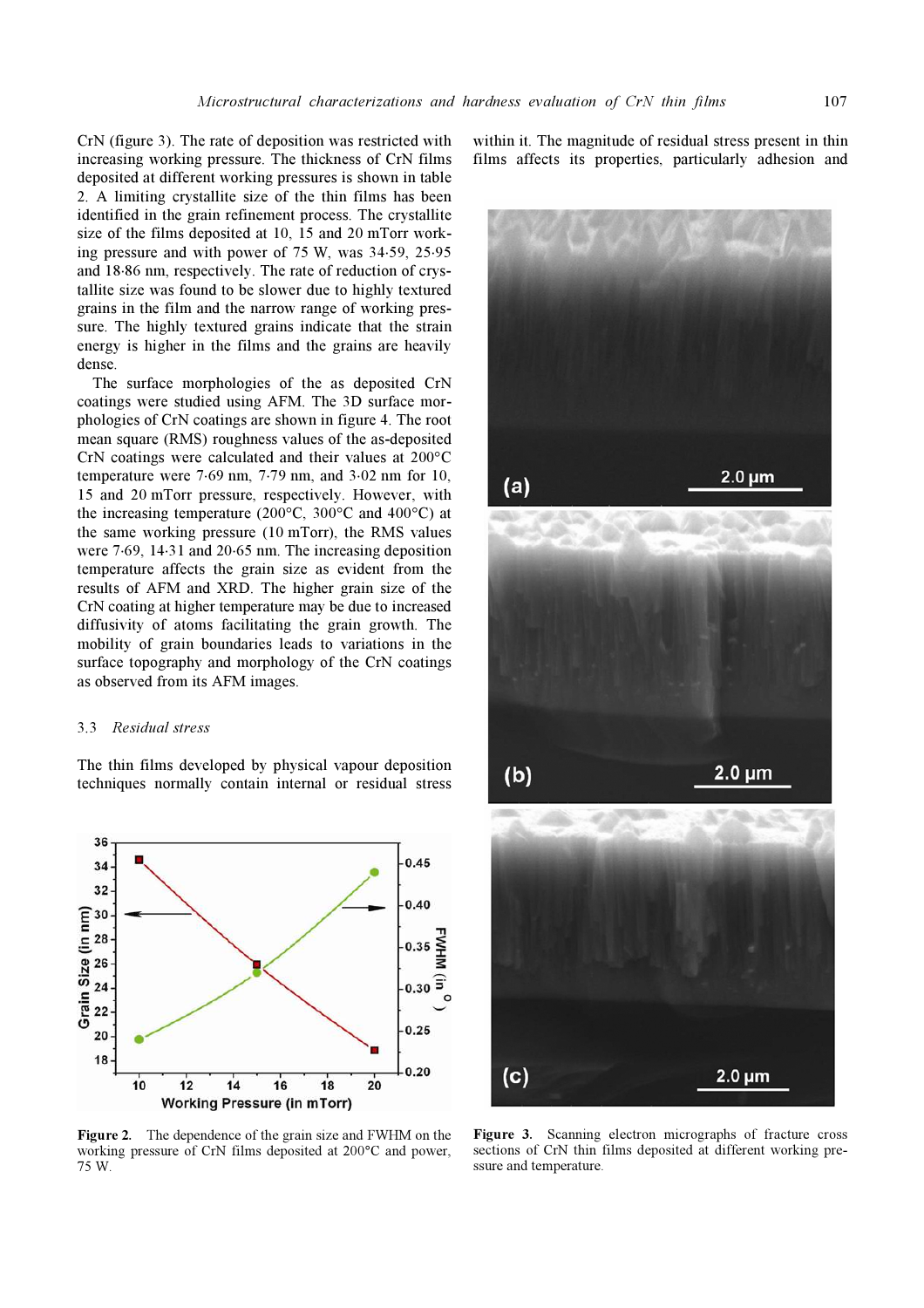CrN (figure 3). The rate of deposition was restricted with increasing working pressure. The thickness of CrN films deposited at different working pressures is shown in table 2. A limiting crystallite size of the thin films has been identified in the grain refinement process. The crystallite size of the films deposited at 10, 15 and 20 mTorr working pressure and with power of 75 W, was 34⋅59, 25⋅95 and 18⋅86 nm, respectively. The rate of reduction of crystallite size was found to be slower due to highly textured grains in the film and the narrow range of working pressure. The highly textured grains indicate that the strain energy is higher in the films and the grains are heavily dense.

 The surface morphologies of the as deposited CrN coatings were studied using AFM. The 3D surface morphologies of CrN coatings are shown in figure 4. The root mean square (RMS) roughness values of the as-deposited CrN coatings were calculated and their values at 200°C temperature were 7⋅69 nm, 7⋅79 nm, and 3⋅02 nm for 10, 15 and 20 mTorr pressure, respectively. However, with the increasing temperature (200 $\degree$ C, 300 $\degree$ C and 400 $\degree$ C) at the same working pressure (10 mTorr), the RMS values were 7⋅69, 14⋅31 and 20⋅65 nm. The increasing deposition temperature affects the grain size as evident from the results of AFM and XRD. The higher grain size of the CrN coating at higher temperature may be due to increased diffusivity of atoms facilitating the grain growth. The mobility of grain boundaries leads to variations in the surface topography and morphology of the CrN coatings as observed from its AFM images.

#### 3.3 Residual stress

The thin films developed by physical vapour deposition techniques normally contain internal or residual stress



Figure 2. The dependence of the grain size and FWHM on the working pressure of CrN films deposited at 200°C and power, 75 W.

within it. The magnitude of residual stress present in thin films affects its properties, particularly adhesion and



Figure 3. Scanning electron micrographs of fracture cross sections of CrN thin films deposited at different working pressure and temperature.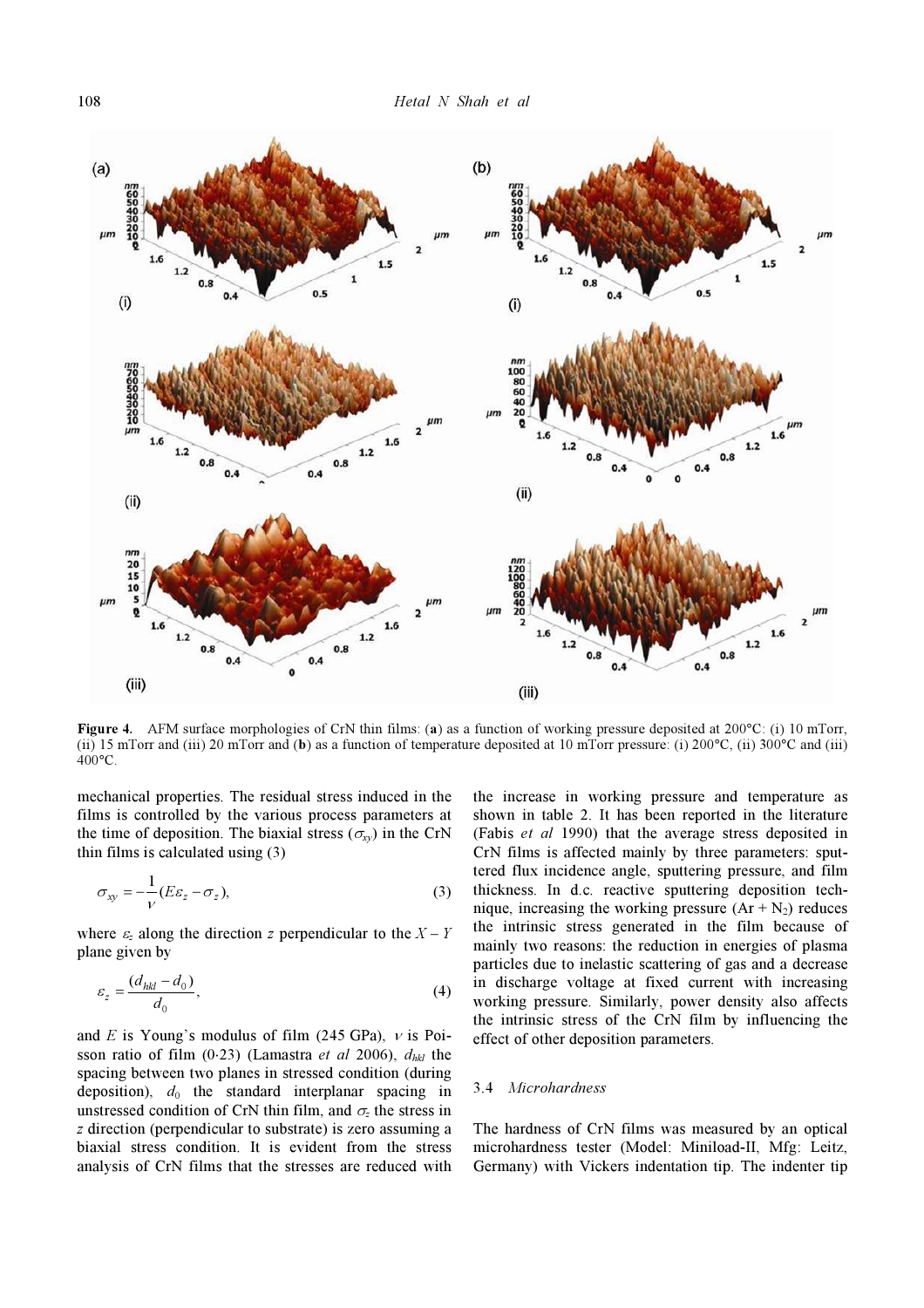

Figure 4. AFM surface morphologies of CrN thin films: (a) as a function of working pressure deposited at 200°C: (i) 10 mTorr, (ii) 15 mTorr and (iii) 20 mTorr and (b) as a function of temperature deposited at 10 mTorr pressure: (i) 200°C, (ii) 300°C and (iii) 400°C.

mechanical properties. The residual stress induced in the films is controlled by the various process parameters at the time of deposition. The biaxial stress ( $\sigma_{xy}$ ) in the CrN thin films is calculated using (3)

 $\overline{1}$ 

$$
\sigma_{xy} = -\frac{1}{V} (E\varepsilon_z - \sigma_z),\tag{3}
$$

where  $\varepsilon_z$  along the direction z perpendicular to the  $X - Y$ plane given by

$$
\varepsilon_z = \frac{(d_{hkl} - d_0)}{d_0},\tag{4}
$$

and E is Young's modulus of film (245 GPa),  $\nu$  is Poisson ratio of film (0⋅23) (Lamastra *et al* 2006),  $d_{hkl}$  the spacing between two planes in stressed condition (during deposition),  $d_0$  the standard interplanar spacing in unstressed condition of CrN thin film, and  $\sigma$ <sub>z</sub> the stress in z direction (perpendicular to substrate) is zero assuming a biaxial stress condition. It is evident from the stress analysis of CrN films that the stresses are reduced with

the increase in working pressure and temperature as shown in table 2. It has been reported in the literature (Fabis et al 1990) that the average stress deposited in CrN films is affected mainly by three parameters: sputtered flux incidence angle, sputtering pressure, and film thickness. In d.c. reactive sputtering deposition technique, increasing the working pressure  $(Ar + N_2)$  reduces the intrinsic stress generated in the film because of mainly two reasons: the reduction in energies of plasma particles due to inelastic scattering of gas and a decrease in discharge voltage at fixed current with increasing working pressure. Similarly, power density also affects the intrinsic stress of the CrN film by influencing the effect of other deposition parameters.

#### 3.4 Microhardness

The hardness of CrN films was measured by an optical microhardness tester (Model: Miniload-II, Mfg: Leitz, Germany) with Vickers indentation tip. The indenter tip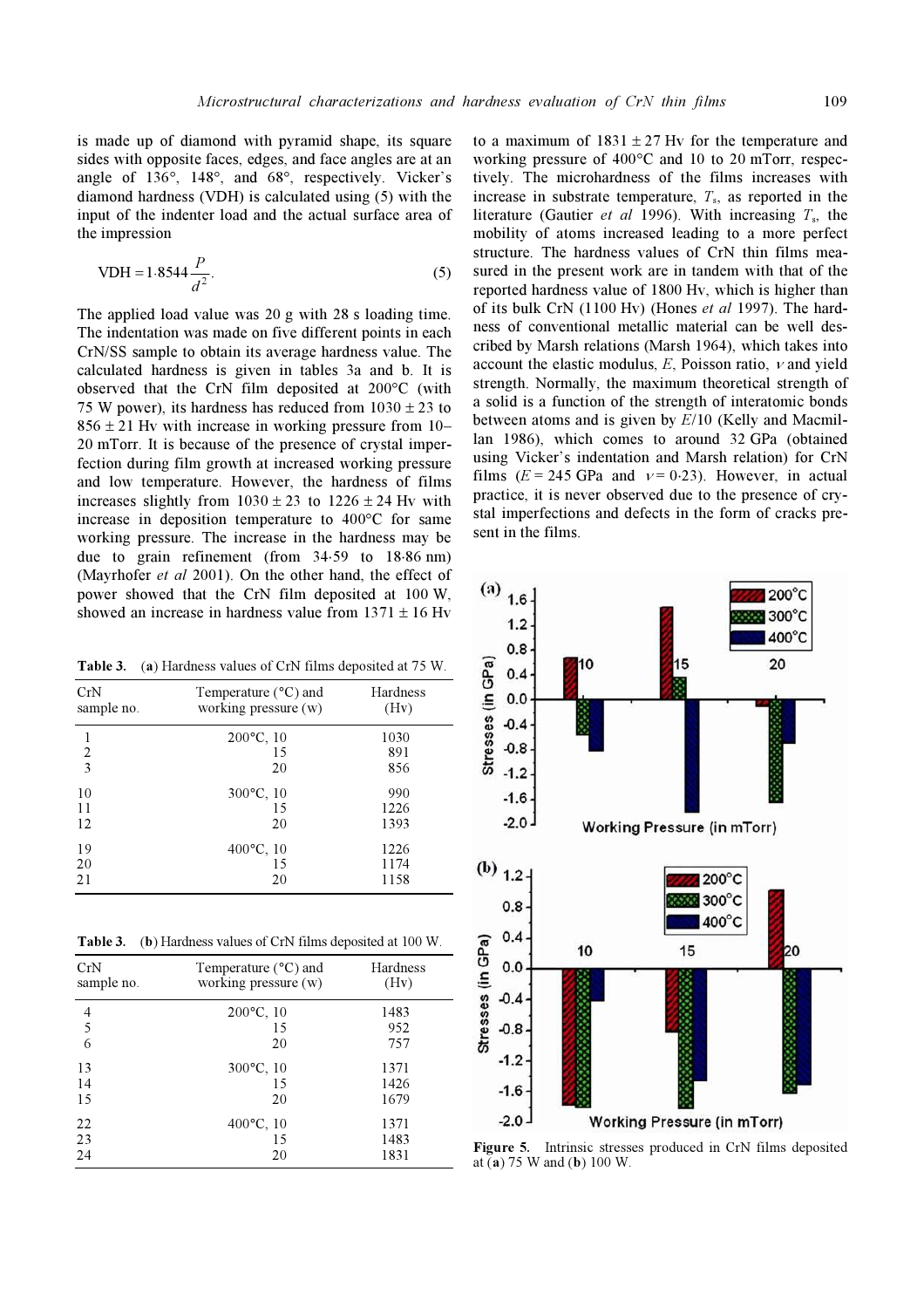is made up of diamond with pyramid shape, its square sides with opposite faces, edges, and face angles are at an angle of 136°, 148°, and 68°, respectively. Vicker's diamond hardness (VDH) is calculated using (5) with the input of the indenter load and the actual surface area of the impression

VDH = 1.8544 
$$
\frac{P}{d^2}
$$
. (5)

The applied load value was 20 g with 28 s loading time. The indentation was made on five different points in each CrN/SS sample to obtain its average hardness value. The calculated hardness is given in tables 3a and b. It is observed that the CrN film deposited at 200°C (with 75 W power), its hardness has reduced from  $1030 \pm 23$  to  $856 \pm 21$  Hy with increase in working pressure from 10– 20 mTorr. It is because of the presence of crystal imperfection during film growth at increased working pressure and low temperature. However, the hardness of films increases slightly from  $1030 \pm 23$  to  $1226 \pm 24$  Hv with increase in deposition temperature to 400°C for same working pressure. The increase in the hardness may be due to grain refinement (from 34⋅59 to 18⋅86 nm) (Mayrhofer et al 2001). On the other hand, the effect of power showed that the CrN film deposited at 100 W, showed an increase in hardness value from  $1371 \pm 16$  Hy

Table 3. (a) Hardness values of CrN films deposited at 75 W.

| CrN<br>sample no. | Temperature (°C) and<br>working pressure $(w)$ | Hardness<br>(Hv) |
|-------------------|------------------------------------------------|------------------|
| 1                 | $200^{\circ}$ C, 10                            | 1030             |
| 2                 | 15                                             | 891              |
| 3                 | 20                                             | 856              |
| 10                | 300°C, 10                                      | 990              |
| 11                | 15                                             | 1226             |
| 12                | 20                                             | 1393             |
| 19                | $400^{\circ}$ C, 10                            | 1226             |
| 20                | 15                                             | 1174             |
| 21                | 20                                             | 1158             |

Table 3. (b) Hardness values of CrN films deposited at 100 W.

| CrN<br>sample no. | Temperature $(^{\circ}C)$ and<br>working pressure (w) | Hardness<br>(Hv) |
|-------------------|-------------------------------------------------------|------------------|
| 4                 | $200^{\circ}$ C, 10                                   | 1483             |
| 5                 | 15                                                    | 952              |
| 6                 | 20                                                    | 757              |
| 13                | $300^{\circ}$ C, 10                                   | 1371             |
| 14                | 15                                                    | 1426             |
| 15                | 20                                                    | 1679             |
| 22                | 400°C, 10                                             | 1371             |
| 23                | 15                                                    | 1483             |
| 24                | 20                                                    | 1831             |

to a maximum of  $1831 \pm 27$  Hv for the temperature and working pressure of 400°C and 10 to 20 mTorr, respectively. The microhardness of the films increases with increase in substrate temperature,  $T_s$ , as reported in the literature (Gautier *et al* 1996). With increasing  $T_s$ , the mobility of atoms increased leading to a more perfect structure. The hardness values of CrN thin films measured in the present work are in tandem with that of the reported hardness value of 1800 Hv, which is higher than of its bulk CrN (1100 Hv) (Hones *et al* 1997). The hardness of conventional metallic material can be well described by Marsh relations (Marsh 1964), which takes into account the elastic modulus,  $E$ , Poisson ratio,  $\nu$  and yield strength. Normally, the maximum theoretical strength of a solid is a function of the strength of interatomic bonds between atoms and is given by E/10 (Kelly and Macmillan 1986), which comes to around 32 GPa (obtained using Vicker's indentation and Marsh relation) for CrN films ( $E = 245$  GPa and  $v = 0.23$ ). However, in actual practice, it is never observed due to the presence of crystal imperfections and defects in the form of cracks present in the films.



Figure 5. Intrinsic stresses produced in CrN films deposited at (a) 75 W and (b) 100 W.